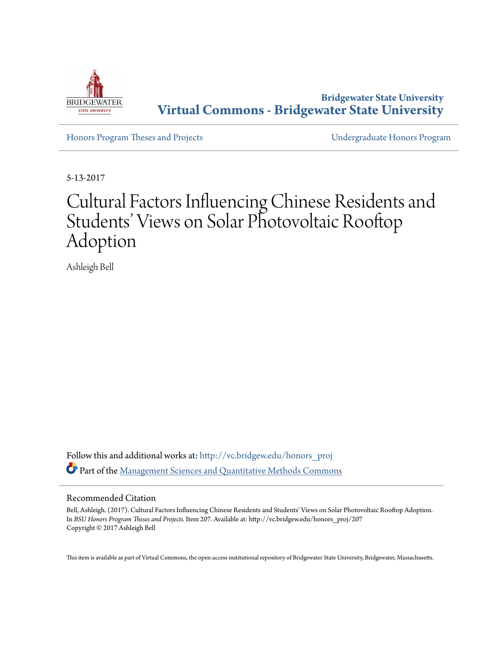

**Bridgewater State University [Virtual Commons - Bridgewater State University](http://vc.bridgew.edu?utm_source=vc.bridgew.edu%2Fhonors_proj%2F207&utm_medium=PDF&utm_campaign=PDFCoverPages)**

[Honors Program Theses and Projects](http://vc.bridgew.edu/honors_proj?utm_source=vc.bridgew.edu%2Fhonors_proj%2F207&utm_medium=PDF&utm_campaign=PDFCoverPages) [Undergraduate Honors Program](http://vc.bridgew.edu/honors?utm_source=vc.bridgew.edu%2Fhonors_proj%2F207&utm_medium=PDF&utm_campaign=PDFCoverPages)

5-13-2017

# Cultural Factors Influencing Chinese Residents and Students' Views on Solar Photovoltaic Rooftop Adoption

Ashleigh Bell

Follow this and additional works at: [http://vc.bridgew.edu/honors\\_proj](http://vc.bridgew.edu/honors_proj?utm_source=vc.bridgew.edu%2Fhonors_proj%2F207&utm_medium=PDF&utm_campaign=PDFCoverPages) Part of the [Management Sciences and Quantitative Methods Commons](http://network.bepress.com/hgg/discipline/637?utm_source=vc.bridgew.edu%2Fhonors_proj%2F207&utm_medium=PDF&utm_campaign=PDFCoverPages)

#### Recommended Citation

Bell, Ashleigh. (2017). Cultural Factors Influencing Chinese Residents and Students' Views on Solar Photovoltaic Rooftop Adoption. In *BSU Honors Program Theses and Projects.* Item 207. Available at: http://vc.bridgew.edu/honors\_proj/207 Copyright © 2017 Ashleigh Bell

This item is available as part of Virtual Commons, the open-access institutional repository of Bridgewater State University, Bridgewater, Massachusetts.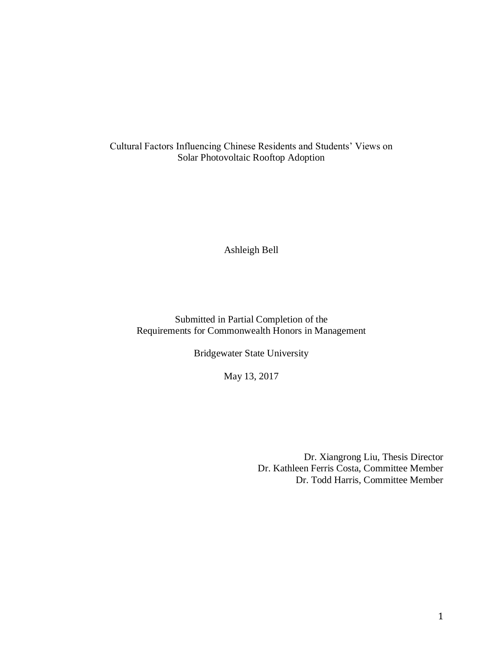Cultural Factors Influencing Chinese Residents and Students' Views on Solar Photovoltaic Rooftop Adoption

Ashleigh Bell

Submitted in Partial Completion of the Requirements for Commonwealth Honors in Management

Bridgewater State University

May 13, 2017

Dr. Xiangrong Liu, Thesis Director Dr. Kathleen Ferris Costa, Committee Member Dr. Todd Harris, Committee Member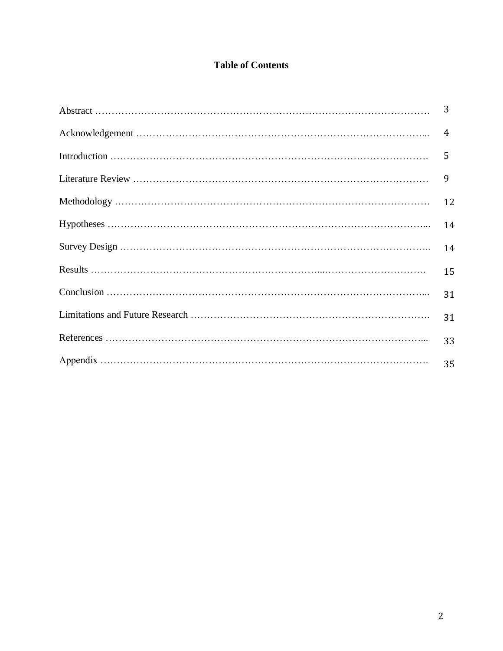# **Table of Contents**

| 3              |
|----------------|
| $\overline{4}$ |
| 5              |
| 9              |
| 12             |
| 14             |
| 14             |
| 15             |
| 31             |
| 31             |
| 33             |
| 35             |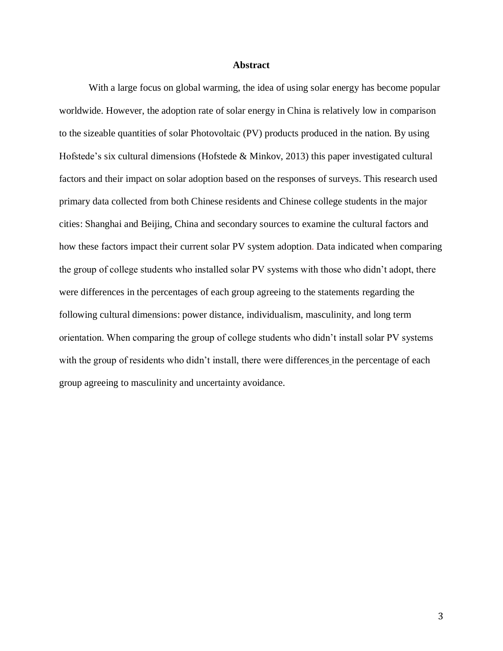#### **Abstract**

With a large focus on global warming, the idea of using solar energy has become popular worldwide. However, the adoption rate of solar energy in China is relatively low in comparison to the sizeable quantities of solar Photovoltaic (PV) products produced in the nation. By using Hofstede's six cultural dimensions (Hofstede & Minkov, 2013) this paper investigated cultural factors and their impact on solar adoption based on the responses of surveys. This research used primary data collected from both Chinese residents and Chinese college students in the major cities: Shanghai and Beijing, China and secondary sources to examine the cultural factors and how these factors impact their current solar PV system adoption. Data indicated when comparing the group of college students who installed solar PV systems with those who didn't adopt, there were differences in the percentages of each group agreeing to the statements regarding the following cultural dimensions: power distance, individualism, masculinity, and long term orientation. When comparing the group of college students who didn't install solar PV systems with the group of residents who didn't install, there were differences in the percentage of each group agreeing to masculinity and uncertainty avoidance.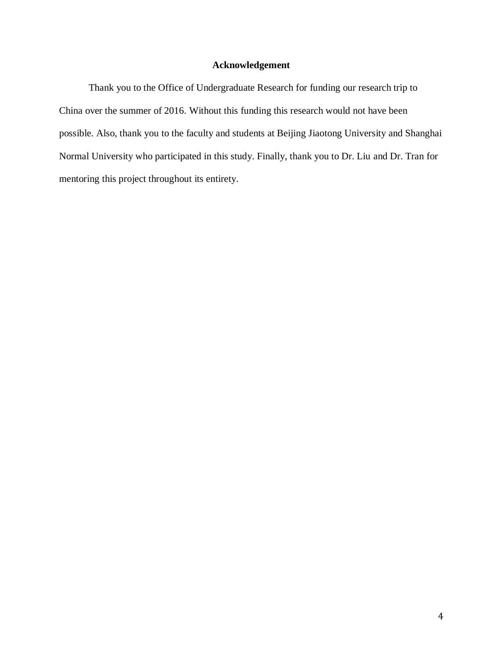# **Acknowledgement**

Thank you to the Office of Undergraduate Research for funding our research trip to China over the summer of 2016. Without this funding this research would not have been possible. Also, thank you to the faculty and students at Beijing Jiaotong University and Shanghai Normal University who participated in this study. Finally, thank you to Dr. Liu and Dr. Tran for mentoring this project throughout its entirety.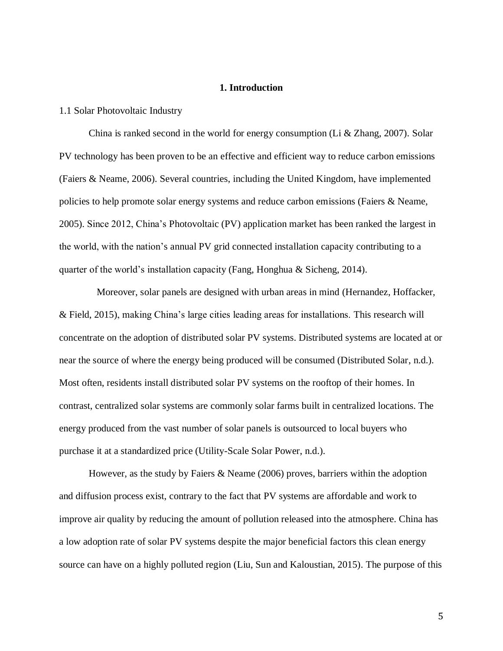#### **1. Introduction**

#### 1.1 Solar Photovoltaic Industry

China is ranked second in the world for energy consumption (Li & Zhang, 2007). Solar PV technology has been proven to be an effective and efficient way to reduce carbon emissions (Faiers & Neame, 2006). Several countries, including the United Kingdom, have implemented policies to help promote solar energy systems and reduce carbon emissions (Faiers & Neame, 2005). Since 2012, China's Photovoltaic (PV) application market has been ranked the largest in the world, with the nation's annual PV grid connected installation capacity contributing to a quarter of the world's installation capacity (Fang, Honghua & Sicheng, 2014).

Moreover, solar panels are designed with urban areas in mind (Hernandez, Hoffacker, & Field, 2015), making China's large cities leading areas for installations. This research will concentrate on the adoption of distributed solar PV systems. Distributed systems are located at or near the source of where the energy being produced will be consumed (Distributed Solar, n.d.). Most often, residents install distributed solar PV systems on the rooftop of their homes. In contrast, centralized solar systems are commonly solar farms built in centralized locations. The energy produced from the vast number of solar panels is outsourced to local buyers who purchase it at a standardized price (Utility-Scale Solar Power, n.d.).

However, as the study by Faiers & Neame (2006) proves, barriers within the adoption and diffusion process exist, contrary to the fact that PV systems are affordable and work to improve air quality by reducing the amount of pollution released into the atmosphere. China has a low adoption rate of solar PV systems despite the major beneficial factors this clean energy source can have on a highly polluted region (Liu, Sun and Kaloustian, 2015). The purpose of this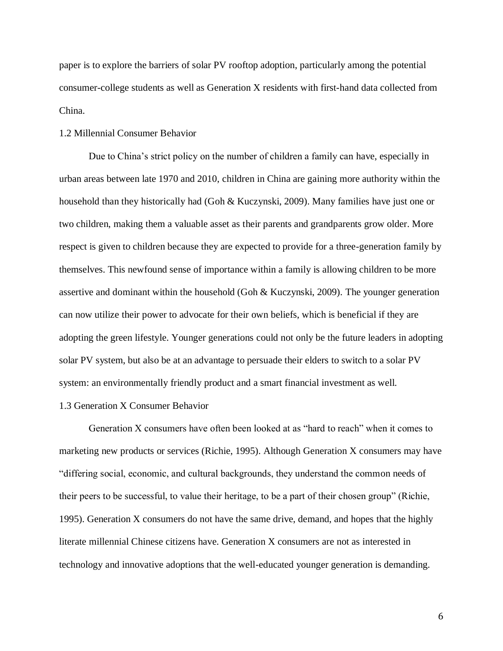paper is to explore the barriers of solar PV rooftop adoption, particularly among the potential consumer-college students as well as Generation X residents with first-hand data collected from China.

#### 1.2 Millennial Consumer Behavior

Due to China's strict policy on the number of children a family can have, especially in urban areas between late 1970 and 2010, children in China are gaining more authority within the household than they historically had (Goh & Kuczynski, 2009). Many families have just one or two children, making them a valuable asset as their parents and grandparents grow older. More respect is given to children because they are expected to provide for a three-generation family by themselves. This newfound sense of importance within a family is allowing children to be more assertive and dominant within the household (Goh & Kuczynski, 2009). The younger generation can now utilize their power to advocate for their own beliefs, which is beneficial if they are adopting the green lifestyle. Younger generations could not only be the future leaders in adopting solar PV system, but also be at an advantage to persuade their elders to switch to a solar PV system: an environmentally friendly product and a smart financial investment as well.

#### 1.3 Generation X Consumer Behavior

Generation X consumers have often been looked at as "hard to reach" when it comes to marketing new products or services (Richie, 1995). Although Generation X consumers may have "differing social, economic, and cultural backgrounds, they understand the common needs of their peers to be successful, to value their heritage, to be a part of their chosen group" (Richie, 1995). Generation X consumers do not have the same drive, demand, and hopes that the highly literate millennial Chinese citizens have. Generation X consumers are not as interested in technology and innovative adoptions that the well-educated younger generation is demanding.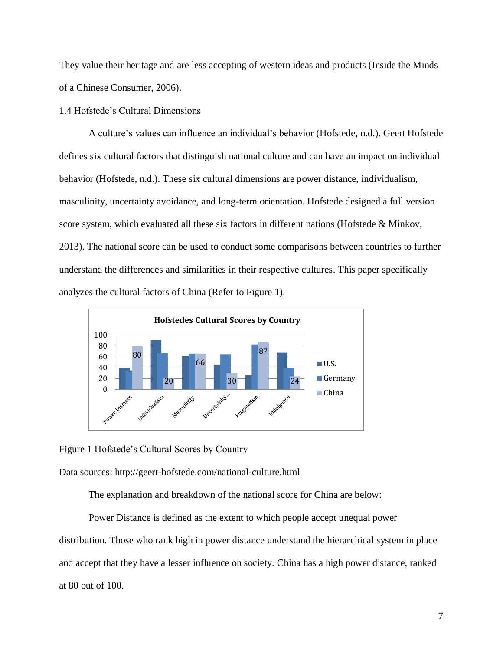They value their heritage and are less accepting of western ideas and products (Inside the Minds of a Chinese Consumer, 2006).

# 1.4 Hofstede's Cultural Dimensions

A culture's values can influence an individual's behavior (Hofstede, n.d.). Geert Hofstede defines six cultural factors that distinguish national culture and can have an impact on individual behavior (Hofstede, n.d.). These six cultural dimensions are power distance, individualism, masculinity, uncertainty avoidance, and long-term orientation. Hofstede designed a full version score system, which evaluated all these six factors in different nations (Hofstede & Minkov, 2013). The national score can be used to conduct some comparisons between countries to further understand the differences and similarities in their respective cultures. This paper specifically analyzes the cultural factors of China (Refer to Figure 1).



Figure 1 Hofstede's Cultural Scores by Country

Data sources: http://geert-hofstede.com/national-culture.html

The explanation and breakdown of the national score for China are below:

Power Distance is defined as the extent to which people accept unequal power distribution. Those who rank high in power distance understand the hierarchical system in place and accept that they have a lesser influence on society. China has a high power distance, ranked at 80 out of 100.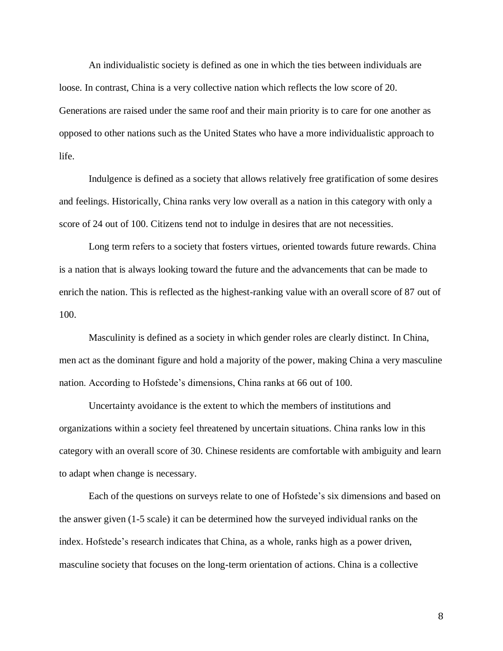An individualistic society is defined as one in which the ties between individuals are loose. In contrast, China is a very collective nation which reflects the low score of 20. Generations are raised under the same roof and their main priority is to care for one another as opposed to other nations such as the United States who have a more individualistic approach to life.

Indulgence is defined as a society that allows relatively free gratification of some desires and feelings. Historically, China ranks very low overall as a nation in this category with only a score of 24 out of 100. Citizens tend not to indulge in desires that are not necessities.

Long term refers to a society that fosters virtues, oriented towards future rewards. China is a nation that is always looking toward the future and the advancements that can be made to enrich the nation. This is reflected as the highest-ranking value with an overall score of 87 out of 100.

Masculinity is defined as a society in which gender roles are clearly distinct. In China, men act as the dominant figure and hold a majority of the power, making China a very masculine nation. According to Hofstede's dimensions, China ranks at 66 out of 100.

Uncertainty avoidance is the extent to which the members of institutions and organizations within a society feel threatened by uncertain situations. China ranks low in this category with an overall score of 30. Chinese residents are comfortable with ambiguity and learn to adapt when change is necessary.

Each of the questions on surveys relate to one of Hofstede's six dimensions and based on the answer given (1-5 scale) it can be determined how the surveyed individual ranks on the index. Hofstede's research indicates that China, as a whole, ranks high as a power driven, masculine society that focuses on the long-term orientation of actions. China is a collective

8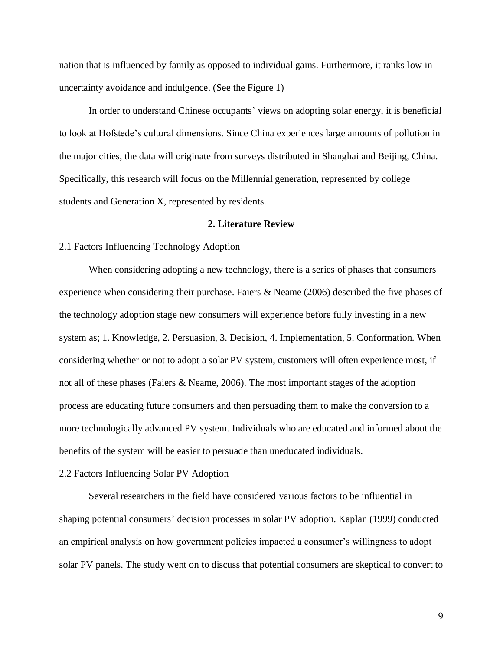nation that is influenced by family as opposed to individual gains. Furthermore, it ranks low in uncertainty avoidance and indulgence. (See the Figure 1)

In order to understand Chinese occupants' views on adopting solar energy, it is beneficial to look at Hofstede's cultural dimensions. Since China experiences large amounts of pollution in the major cities, the data will originate from surveys distributed in Shanghai and Beijing, China. Specifically, this research will focus on the Millennial generation, represented by college students and Generation X, represented by residents.

#### **2. Literature Review**

#### 2.1 Factors Influencing Technology Adoption

When considering adopting a new technology, there is a series of phases that consumers experience when considering their purchase. Faiers & Neame (2006) described the five phases of the technology adoption stage new consumers will experience before fully investing in a new system as; 1. Knowledge, 2. Persuasion, 3. Decision, 4. Implementation, 5. Conformation. When considering whether or not to adopt a solar PV system, customers will often experience most, if not all of these phases (Faiers & Neame, 2006). The most important stages of the adoption process are educating future consumers and then persuading them to make the conversion to a more technologically advanced PV system. Individuals who are educated and informed about the benefits of the system will be easier to persuade than uneducated individuals.

#### 2.2 Factors Influencing Solar PV Adoption

Several researchers in the field have considered various factors to be influential in shaping potential consumers' decision processes in solar PV adoption. Kaplan (1999) conducted an empirical analysis on how government policies impacted a consumer's willingness to adopt solar PV panels. The study went on to discuss that potential consumers are skeptical to convert to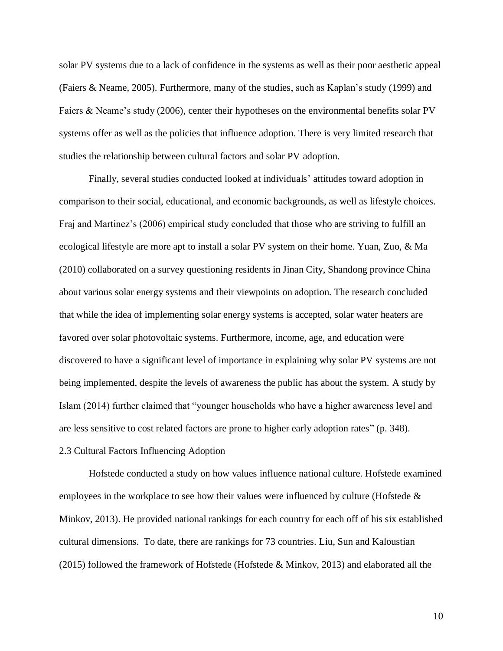solar PV systems due to a lack of confidence in the systems as well as their poor aesthetic appeal (Faiers & Neame, 2005). Furthermore, many of the studies, such as Kaplan's study (1999) and Faiers & Neame's study (2006), center their hypotheses on the environmental benefits solar PV systems offer as well as the policies that influence adoption. There is very limited research that studies the relationship between cultural factors and solar PV adoption.

Finally, several studies conducted looked at individuals' attitudes toward adoption in comparison to their social, educational, and economic backgrounds, as well as lifestyle choices. Fraj and Martinez's (2006) empirical study concluded that those who are striving to fulfill an ecological lifestyle are more apt to install a solar PV system on their home. Yuan, Zuo, & Ma (2010) collaborated on a survey questioning residents in Jinan City, Shandong province China about various solar energy systems and their viewpoints on adoption. The research concluded that while the idea of implementing solar energy systems is accepted, solar water heaters are favored over solar photovoltaic systems. Furthermore, income, age, and education were discovered to have a significant level of importance in explaining why solar PV systems are not being implemented, despite the levels of awareness the public has about the system. A study by Islam (2014) further claimed that "younger households who have a higher awareness level and are less sensitive to cost related factors are prone to higher early adoption rates" (p. 348).

#### 2.3 Cultural Factors Influencing Adoption

Hofstede conducted a study on how values influence national culture. Hofstede examined employees in the workplace to see how their values were influenced by culture (Hofstede & Minkov, 2013). He provided national rankings for each country for each off of his six established cultural dimensions. To date, there are rankings for 73 countries. Liu, Sun and Kaloustian (2015) followed the framework of Hofstede (Hofstede & Minkov, 2013) and elaborated all the

10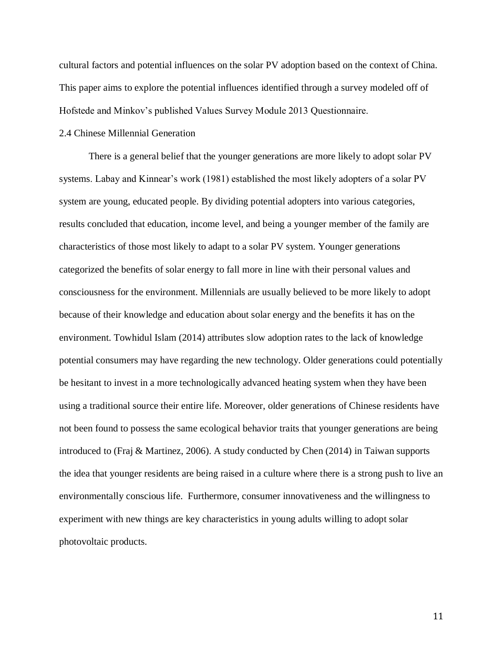cultural factors and potential influences on the solar PV adoption based on the context of China. This paper aims to explore the potential influences identified through a survey modeled off of Hofstede and Minkov's published Values Survey Module 2013 Questionnaire.

#### 2.4 Chinese Millennial Generation

There is a general belief that the younger generations are more likely to adopt solar PV systems. Labay and Kinnear's work (1981) established the most likely adopters of a solar PV system are young, educated people. By dividing potential adopters into various categories, results concluded that education, income level, and being a younger member of the family are characteristics of those most likely to adapt to a solar PV system. Younger generations categorized the benefits of solar energy to fall more in line with their personal values and consciousness for the environment. Millennials are usually believed to be more likely to adopt because of their knowledge and education about solar energy and the benefits it has on the environment. Towhidul Islam (2014) attributes slow adoption rates to the lack of knowledge potential consumers may have regarding the new technology. Older generations could potentially be hesitant to invest in a more technologically advanced heating system when they have been using a traditional source their entire life. Moreover, older generations of Chinese residents have not been found to possess the same ecological behavior traits that younger generations are being introduced to (Fraj & Martinez, 2006). A study conducted by Chen (2014) in Taiwan supports the idea that younger residents are being raised in a culture where there is a strong push to live an environmentally conscious life. Furthermore, consumer innovativeness and the willingness to experiment with new things are key characteristics in young adults willing to adopt solar photovoltaic products.

11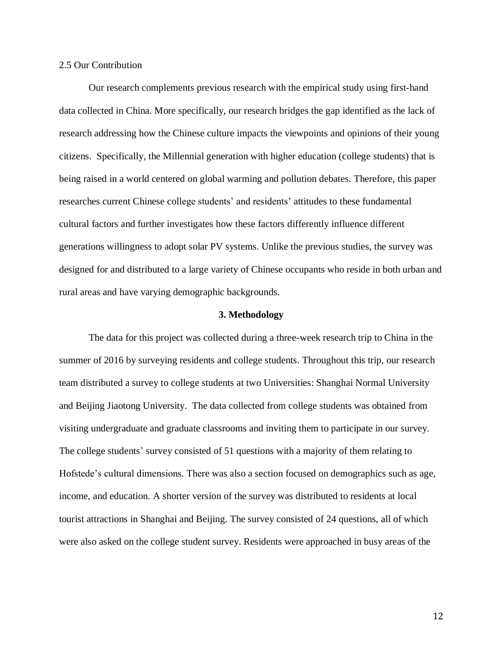#### 2.5 Our Contribution

Our research complements previous research with the empirical study using first-hand data collected in China. More specifically, our research bridges the gap identified as the lack of research addressing how the Chinese culture impacts the viewpoints and opinions of their young citizens. Specifically, the Millennial generation with higher education (college students) that is being raised in a world centered on global warming and pollution debates. Therefore, this paper researches current Chinese college students' and residents' attitudes to these fundamental cultural factors and further investigates how these factors differently influence different generations willingness to adopt solar PV systems. Unlike the previous studies, the survey was designed for and distributed to a large variety of Chinese occupants who reside in both urban and rural areas and have varying demographic backgrounds.

#### **3. Methodology**

The data for this project was collected during a three-week research trip to China in the summer of 2016 by surveying residents and college students. Throughout this trip, our research team distributed a survey to college students at two Universities: Shanghai Normal University and Beijing Jiaotong University. The data collected from college students was obtained from visiting undergraduate and graduate classrooms and inviting them to participate in our survey. The college students' survey consisted of 51 questions with a majority of them relating to Hofstede's cultural dimensions. There was also a section focused on demographics such as age, income, and education. A shorter version of the survey was distributed to residents at local tourist attractions in Shanghai and Beijing. The survey consisted of 24 questions, all of which were also asked on the college student survey. Residents were approached in busy areas of the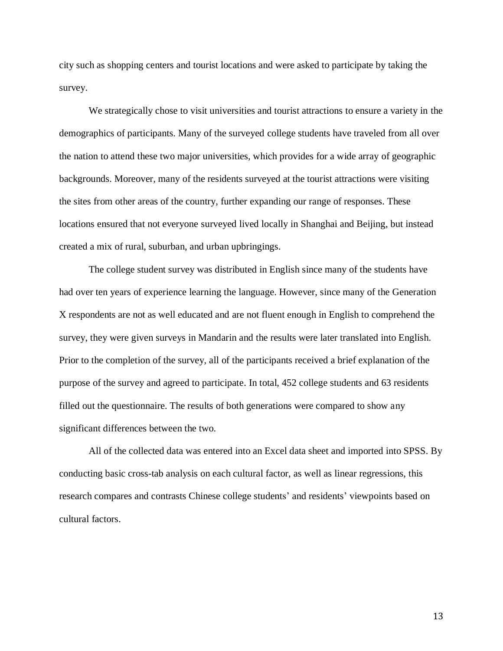city such as shopping centers and tourist locations and were asked to participate by taking the survey.

We strategically chose to visit universities and tourist attractions to ensure a variety in the demographics of participants. Many of the surveyed college students have traveled from all over the nation to attend these two major universities, which provides for a wide array of geographic backgrounds. Moreover, many of the residents surveyed at the tourist attractions were visiting the sites from other areas of the country, further expanding our range of responses. These locations ensured that not everyone surveyed lived locally in Shanghai and Beijing, but instead created a mix of rural, suburban, and urban upbringings.

The college student survey was distributed in English since many of the students have had over ten years of experience learning the language. However, since many of the Generation X respondents are not as well educated and are not fluent enough in English to comprehend the survey, they were given surveys in Mandarin and the results were later translated into English. Prior to the completion of the survey, all of the participants received a brief explanation of the purpose of the survey and agreed to participate. In total, 452 college students and 63 residents filled out the questionnaire. The results of both generations were compared to show any significant differences between the two.

All of the collected data was entered into an Excel data sheet and imported into SPSS. By conducting basic cross-tab analysis on each cultural factor, as well as linear regressions, this research compares and contrasts Chinese college students' and residents' viewpoints based on cultural factors.

13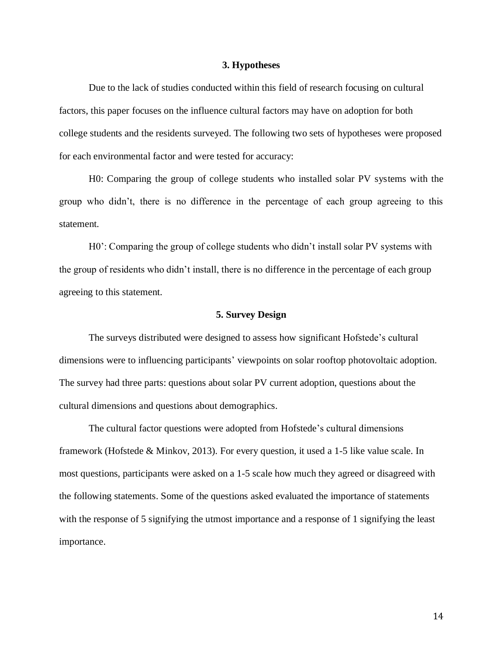#### **3. Hypotheses**

Due to the lack of studies conducted within this field of research focusing on cultural factors, this paper focuses on the influence cultural factors may have on adoption for both college students and the residents surveyed. The following two sets of hypotheses were proposed for each environmental factor and were tested for accuracy:

H0: Comparing the group of college students who installed solar PV systems with the group who didn't, there is no difference in the percentage of each group agreeing to this statement.

H0': Comparing the group of college students who didn't install solar PV systems with the group of residents who didn't install, there is no difference in the percentage of each group agreeing to this statement.

#### **5. Survey Design**

The surveys distributed were designed to assess how significant Hofstede's cultural dimensions were to influencing participants' viewpoints on solar rooftop photovoltaic adoption. The survey had three parts: questions about solar PV current adoption, questions about the cultural dimensions and questions about demographics.

The cultural factor questions were adopted from Hofstede's cultural dimensions framework (Hofstede & Minkov, 2013). For every question, it used a 1-5 like value scale. In most questions, participants were asked on a 1-5 scale how much they agreed or disagreed with the following statements. Some of the questions asked evaluated the importance of statements with the response of 5 signifying the utmost importance and a response of 1 signifying the least importance.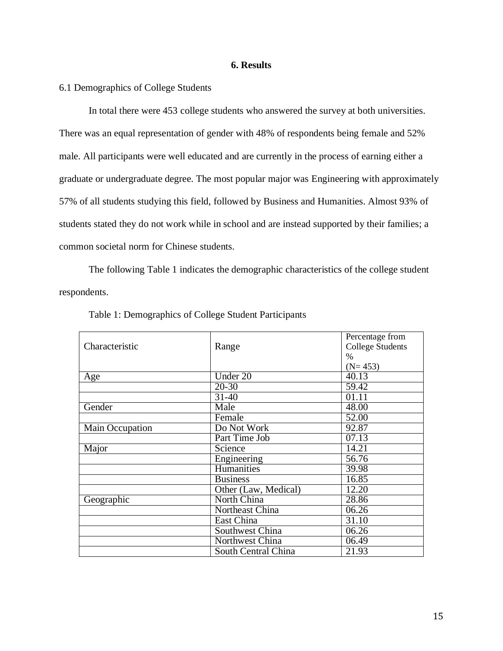## **6. Results**

# 6.1 Demographics of College Students

In total there were 453 college students who answered the survey at both universities. There was an equal representation of gender with 48% of respondents being female and 52% male. All participants were well educated and are currently in the process of earning either a graduate or undergraduate degree. The most popular major was Engineering with approximately 57% of all students studying this field, followed by Business and Humanities. Almost 93% of students stated they do not work while in school and are instead supported by their families; a common societal norm for Chinese students.

The following Table 1 indicates the demographic characteristics of the college student respondents.

| Characteristic  | Range                | Percentage from<br><b>College Students</b><br>$\%$ |  |
|-----------------|----------------------|----------------------------------------------------|--|
|                 |                      | $(N=453)$                                          |  |
| Age             | Under 20             | 40.13                                              |  |
|                 | $20 - 30$            | 59.42                                              |  |
|                 | $31 - 40$            | 01.11                                              |  |
| Gender          | Male                 | 48.00                                              |  |
|                 | Female               | 52.00                                              |  |
| Main Occupation | Do Not Work          | 92.87                                              |  |
|                 | Part Time Job        | 07.13                                              |  |
| Major           | Science              | 14.21                                              |  |
|                 | Engineering          | 56.76                                              |  |
|                 | Humanities           | 39.98                                              |  |
|                 | <b>Business</b>      | 16.85                                              |  |
|                 | Other (Law, Medical) | 12.20                                              |  |
| Geographic      | North China          | 28.86                                              |  |
|                 | Northeast China      | 06.26                                              |  |
|                 | East China           | 31.10                                              |  |
|                 | Southwest China      | 06.26                                              |  |
|                 | Northwest China      | 06.49                                              |  |
|                 | South Central China  | 21.93                                              |  |

#### Table 1: Demographics of College Student Participants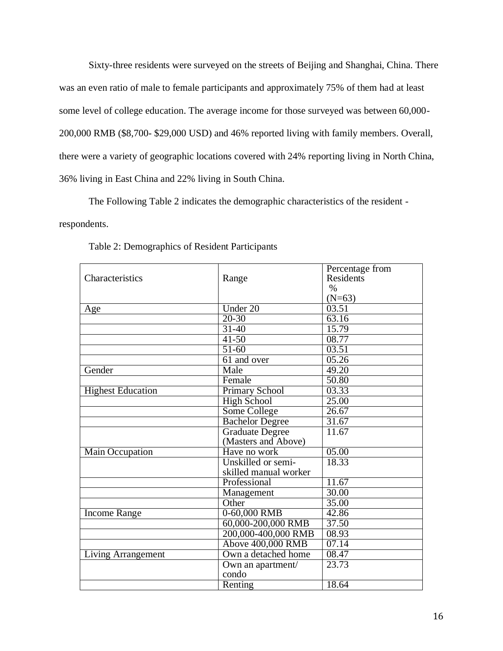Sixty-three residents were surveyed on the streets of Beijing and Shanghai, China. There was an even ratio of male to female participants and approximately 75% of them had at least some level of college education. The average income for those surveyed was between 60,000- 200,000 RMB (\$8,700- \$29,000 USD) and 46% reported living with family members. Overall, there were a variety of geographic locations covered with 24% reporting living in North China, 36% living in East China and 22% living in South China.

The Following Table 2 indicates the demographic characteristics of the resident -

# respondents.

|                          |                        | Percentage from  |
|--------------------------|------------------------|------------------|
| Characteristics          | Range                  | <b>Residents</b> |
|                          |                        | $\%$             |
|                          |                        | $(N=63)$         |
| Age                      | Under $20$             | 03.51            |
|                          | $20 - 30$              | 63.16            |
|                          | $31 - 40$              | 15.79            |
|                          | $41 - 50$              | 08.77            |
|                          | $51-60$                | 03.51            |
|                          | 61 and over            | 05.26            |
| Gender                   | Male                   | 49.20            |
|                          | Female                 | 50.80            |
| <b>Highest Education</b> | <b>Primary School</b>  | 03.33            |
|                          | <b>High School</b>     | 25.00            |
|                          | <b>Some College</b>    | 26.67            |
|                          | <b>Bachelor Degree</b> | 31.67            |
|                          | <b>Graduate Degree</b> | 11.67            |
|                          | (Masters and Above)    |                  |
| Main Occupation          | Have no work           | 05.00            |
|                          | Unskilled or semi-     | 18.33            |
|                          | skilled manual worker  |                  |
|                          | Professional           | 11.67            |
|                          | Management             | 30.00            |
|                          | Other                  | 35.00            |
| <b>Income Range</b>      | 0-60,000 RMB           | 42.86            |
|                          | 60,000-200,000 RMB     | 37.50            |
|                          | 200,000-400,000 RMB    | 08.93            |
|                          | Above 400,000 RMB      | 07.14            |
| Living Arrangement       | Own a detached home    | 08.47            |
|                          | Own an apartment/      | 23.73            |
|                          | condo                  |                  |
|                          | Renting                | 18.64            |

Table 2: Demographics of Resident Participants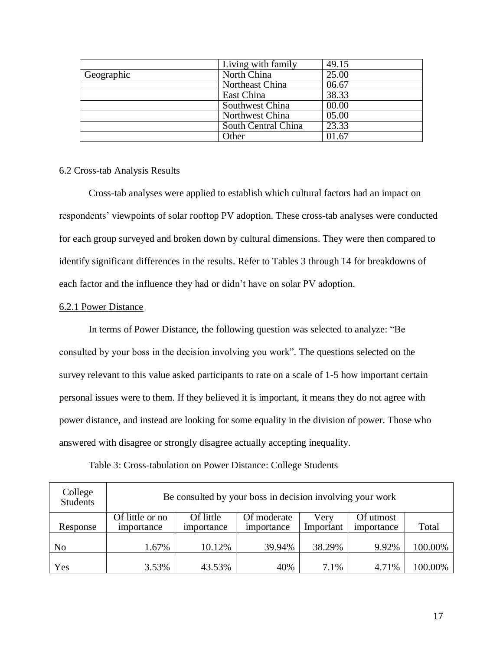|            | Living with family  | 49.15              |
|------------|---------------------|--------------------|
| Geographic | North China         | 25.00              |
|            | Northeast China     | 06.67              |
|            | East China          | $38.\overline{33}$ |
|            | Southwest China     | 00.00              |
|            | Northwest China     | 05.00              |
|            | South Central China | 23.33              |
|            | <b>Other</b>        | 01.67              |

#### 6.2 Cross-tab Analysis Results

Cross-tab analyses were applied to establish which cultural factors had an impact on respondents' viewpoints of solar rooftop PV adoption. These cross-tab analyses were conducted for each group surveyed and broken down by cultural dimensions. They were then compared to identify significant differences in the results. Refer to Tables 3 through 14 for breakdowns of each factor and the influence they had or didn't have on solar PV adoption.

## 6.2.1 Power Distance

In terms of Power Distance, the following question was selected to analyze: "Be consulted by your boss in the decision involving you work". The questions selected on the survey relevant to this value asked participants to rate on a scale of 1-5 how important certain personal issues were to them. If they believed it is important, it means they do not agree with power distance, and instead are looking for some equality in the division of power. Those who answered with disagree or strongly disagree actually accepting inequality.

| College<br><b>Students</b> | Be consulted by your boss in decision involving your work |                         |                           |                   |                         |         |  |  |
|----------------------------|-----------------------------------------------------------|-------------------------|---------------------------|-------------------|-------------------------|---------|--|--|
| Response                   | Of little or no<br>importance                             | Of little<br>importance | Of moderate<br>importance | Very<br>Important | Of utmost<br>importance | Total   |  |  |
|                            |                                                           |                         |                           |                   |                         |         |  |  |
| N <sub>0</sub>             | 1.67%                                                     | 10.12%                  | 39.94%                    | 38.29%            | 9.92%                   | 100.00% |  |  |
| Yes                        | 3.53%                                                     | 43.53%                  | 40%                       | 7.1%              | 4.71%                   | 100.00% |  |  |

Table 3: Cross-tabulation on Power Distance: College Students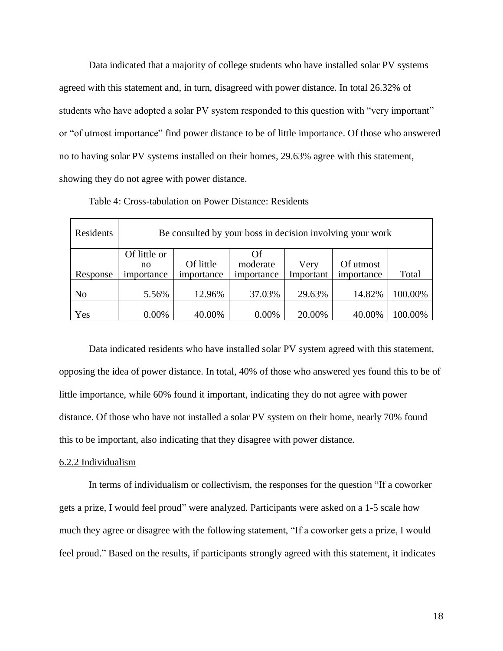Data indicated that a majority of college students who have installed solar PV systems agreed with this statement and, in turn, disagreed with power distance. In total 26.32% of students who have adopted a solar PV system responded to this question with "very important" or "of utmost importance" find power distance to be of little importance. Of those who answered no to having solar PV systems installed on their homes, 29.63% agree with this statement, showing they do not agree with power distance.

| Residents | Be consulted by your boss in decision involving your work |                         |                              |                   |                         |         |  |  |
|-----------|-----------------------------------------------------------|-------------------------|------------------------------|-------------------|-------------------------|---------|--|--|
| Response  | Of little or<br>no<br>importance                          | Of little<br>importance | Of<br>moderate<br>importance | Very<br>Important | Of utmost<br>importance | Total   |  |  |
| No        | 5.56%                                                     | 12.96%                  | 37.03%                       | 29.63%            | 14.82%                  | 100.00% |  |  |
| Yes       | 0.00%                                                     | 40.00%                  | 0.00%                        | 20.00%            | 40.00%                  | 100.00% |  |  |

Table 4: Cross-tabulation on Power Distance: Residents

Data indicated residents who have installed solar PV system agreed with this statement, opposing the idea of power distance. In total, 40% of those who answered yes found this to be of little importance, while 60% found it important, indicating they do not agree with power distance. Of those who have not installed a solar PV system on their home, nearly 70% found this to be important, also indicating that they disagree with power distance.

#### 6.2.2 Individualism

In terms of individualism or collectivism, the responses for the question "If a coworker gets a prize, I would feel proud" were analyzed. Participants were asked on a 1-5 scale how much they agree or disagree with the following statement, "If a coworker gets a prize, I would feel proud." Based on the results, if participants strongly agreed with this statement, it indicates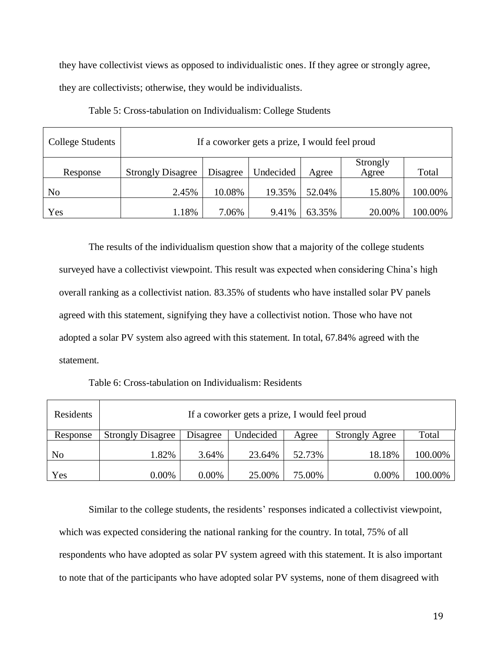they have collectivist views as opposed to individualistic ones. If they agree or strongly agree,

they are collectivists; otherwise, they would be individualists.

| College Students | If a coworker gets a prize, I would feel proud |          |           |        |                   |         |  |
|------------------|------------------------------------------------|----------|-----------|--------|-------------------|---------|--|
| Response         | <b>Strongly Disagree</b>                       | Disagree | Undecided | Agree  | Strongly<br>Agree | Total   |  |
| No               | 2.45%                                          | 10.08%   | 19.35%    | 52.04% | 15.80%            | 100.00% |  |
| Yes              | 1.18%                                          | 7.06%    | 9.41%     | 63.35% | 20.00%            | 100.00% |  |

The results of the individualism question show that a majority of the college students surveyed have a collectivist viewpoint. This result was expected when considering China's high overall ranking as a collectivist nation. 83.35% of students who have installed solar PV panels agreed with this statement, signifying they have a collectivist notion. Those who have not adopted a solar PV system also agreed with this statement. In total, 67.84% agreed with the statement.

Table 6: Cross-tabulation on Individualism: Residents

| Residents | If a coworker gets a prize, I would feel proud |          |           |        |                       |         |  |  |
|-----------|------------------------------------------------|----------|-----------|--------|-----------------------|---------|--|--|
| Response  | <b>Strongly Disagree</b>                       | Disagree | Undecided | Agree  | <b>Strongly Agree</b> | Total   |  |  |
| No        | 1.82%                                          | 3.64%    | 23.64%    | 52.73% | 18.18%                | 100.00% |  |  |
| Yes       | 0.00%                                          | $0.00\%$ | 25.00%    | 75.00% | $0.00\%$              | 100.00% |  |  |

Similar to the college students, the residents' responses indicated a collectivist viewpoint, which was expected considering the national ranking for the country. In total, 75% of all respondents who have adopted as solar PV system agreed with this statement. It is also important to note that of the participants who have adopted solar PV systems, none of them disagreed with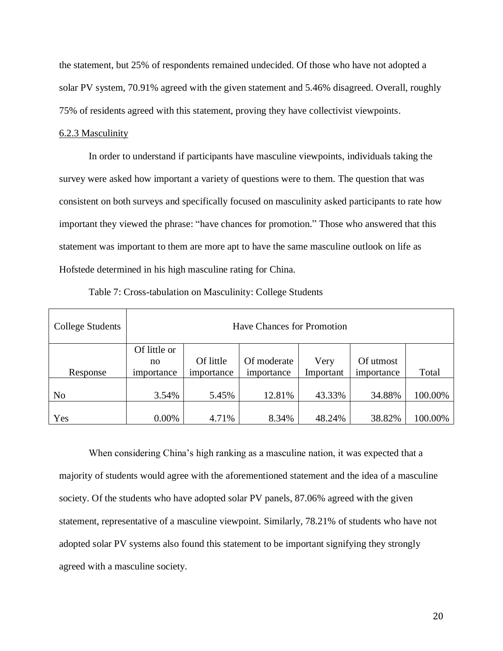the statement, but 25% of respondents remained undecided. Of those who have not adopted a solar PV system, 70.91% agreed with the given statement and 5.46% disagreed. Overall, roughly 75% of residents agreed with this statement, proving they have collectivist viewpoints.

#### 6.2.3 Masculinity

In order to understand if participants have masculine viewpoints, individuals taking the survey were asked how important a variety of questions were to them. The question that was consistent on both surveys and specifically focused on masculinity asked participants to rate how important they viewed the phrase: "have chances for promotion." Those who answered that this statement was important to them are more apt to have the same masculine outlook on life as Hofstede determined in his high masculine rating for China.

| College Students | <b>Have Chances for Promotion</b> |                         |                           |                   |                         |         |  |
|------------------|-----------------------------------|-------------------------|---------------------------|-------------------|-------------------------|---------|--|
| Response         | Of little or<br>no<br>importance  | Of little<br>importance | Of moderate<br>importance | Very<br>Important | Of utmost<br>importance | Total   |  |
| N <sub>0</sub>   | 3.54%                             | 5.45%                   | 12.81%                    | 43.33%            | 34.88%                  | 100.00% |  |
| Yes              | $0.00\%$                          | 4.71%                   | 8.34%                     | 48.24%            | 38.82%                  | 100.00% |  |

Table 7: Cross-tabulation on Masculinity: College Students

When considering China's high ranking as a masculine nation, it was expected that a majority of students would agree with the aforementioned statement and the idea of a masculine society. Of the students who have adopted solar PV panels, 87.06% agreed with the given statement, representative of a masculine viewpoint. Similarly, 78.21% of students who have not adopted solar PV systems also found this statement to be important signifying they strongly agreed with a masculine society.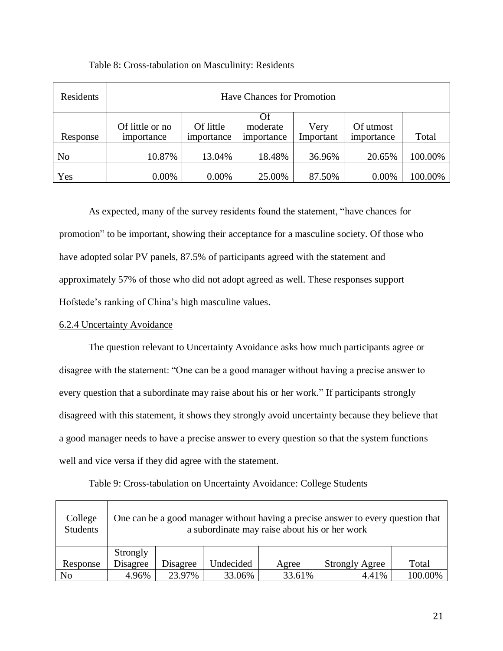| Residents      | <b>Have Chances for Promotion</b> |                         |                              |                   |                         |         |  |  |
|----------------|-----------------------------------|-------------------------|------------------------------|-------------------|-------------------------|---------|--|--|
| Response       | Of little or no<br>importance     | Of little<br>importance | Of<br>moderate<br>importance | Very<br>Important | Of utmost<br>importance | Total   |  |  |
| N <sub>0</sub> | 10.87%                            | 13.04%                  | 18.48%                       | 36.96%            | 20.65%                  | 100.00% |  |  |
| Yes            | $0.00\%$                          | 0.00%                   | 25.00%                       | 87.50%            | 0.00%                   | 100.00% |  |  |

Table 8: Cross-tabulation on Masculinity: Residents

As expected, many of the survey residents found the statement, "have chances for promotion" to be important, showing their acceptance for a masculine society. Of those who have adopted solar PV panels, 87.5% of participants agreed with the statement and approximately 57% of those who did not adopt agreed as well. These responses support Hofstede's ranking of China's high masculine values.

# 6.2.4 Uncertainty Avoidance

The question relevant to Uncertainty Avoidance asks how much participants agree or disagree with the statement: "One can be a good manager without having a precise answer to every question that a subordinate may raise about his or her work." If participants strongly disagreed with this statement, it shows they strongly avoid uncertainty because they believe that a good manager needs to have a precise answer to every question so that the system functions well and vice versa if they did agree with the statement.

| College<br><b>Students</b> | One can be a good manager without having a precise answer to every question that<br>a subordinate may raise about his or her work |          |           |        |                       |         |  |  |
|----------------------------|-----------------------------------------------------------------------------------------------------------------------------------|----------|-----------|--------|-----------------------|---------|--|--|
| Response                   | Strongly<br>Disagree                                                                                                              | Disagree | Undecided | Agree  | <b>Strongly Agree</b> | Total   |  |  |
| N <sub>0</sub>             | 4.96%                                                                                                                             | 23.97%   | 33.06%    | 33.61% | 4.41%                 | 100.00% |  |  |

Table 9: Cross-tabulation on Uncertainty Avoidance: College Students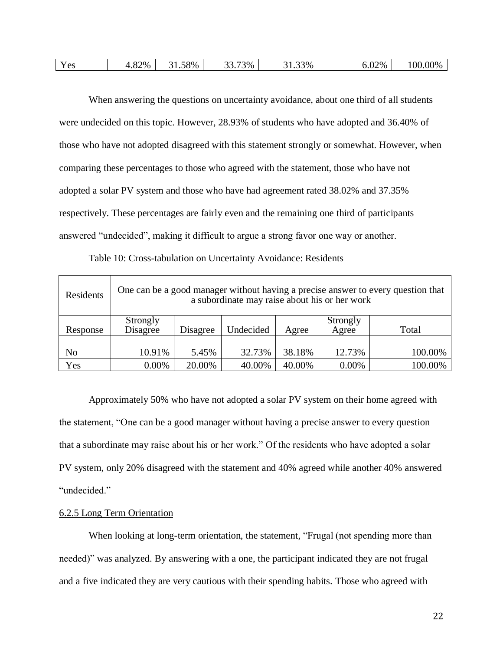| Yes | 4.82% | 31.58% | 33.73% | 31.33% | 6.02% | 100.00% |
|-----|-------|--------|--------|--------|-------|---------|
|-----|-------|--------|--------|--------|-------|---------|

When answering the questions on uncertainty avoidance, about one third of all students were undecided on this topic. However, 28.93% of students who have adopted and 36.40% of those who have not adopted disagreed with this statement strongly or somewhat. However, when comparing these percentages to those who agreed with the statement, those who have not adopted a solar PV system and those who have had agreement rated 38.02% and 37.35% respectively. These percentages are fairly even and the remaining one third of participants answered "undecided", making it difficult to argue a strong favor one way or another.

Table 10: Cross-tabulation on Uncertainty Avoidance: Residents

| Residents |                      |          | a subordinate may raise about his or her work |        |                   | One can be a good manager without having a precise answer to every question that |
|-----------|----------------------|----------|-----------------------------------------------|--------|-------------------|----------------------------------------------------------------------------------|
| Response  | Strongly<br>Disagree | Disagree | Undecided                                     | Agree  | Strongly<br>Agree | Total                                                                            |
| No        | 10.91%               | 5.45%    | 32.73%                                        | 38.18% | 12.73%            | 100.00%                                                                          |
| Yes       | 0.00%                | 20.00%   | 40.00%                                        | 40.00% | 0.00%             | 100.00%                                                                          |

Approximately 50% who have not adopted a solar PV system on their home agreed with the statement, "One can be a good manager without having a precise answer to every question that a subordinate may raise about his or her work." Of the residents who have adopted a solar PV system, only 20% disagreed with the statement and 40% agreed while another 40% answered "undecided."

#### 6.2.5 Long Term Orientation

When looking at long-term orientation, the statement, "Frugal (not spending more than needed)" was analyzed. By answering with a one, the participant indicated they are not frugal and a five indicated they are very cautious with their spending habits. Those who agreed with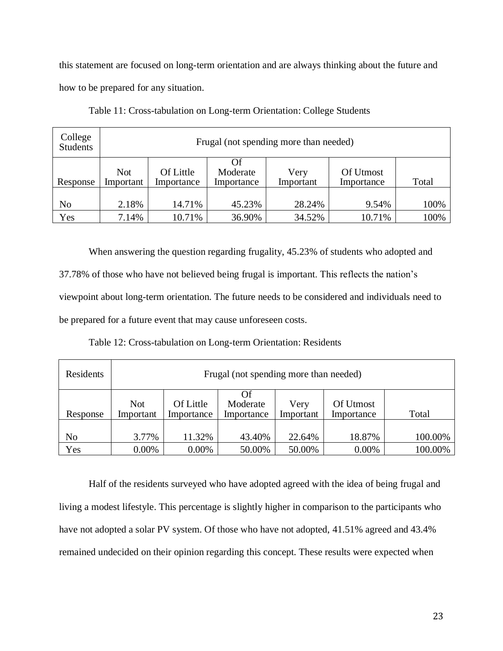this statement are focused on long-term orientation and are always thinking about the future and how to be prepared for any situation.

| College<br><b>Students</b> | Frugal (not spending more than needed) |                         |                               |                   |                         |       |  |  |  |
|----------------------------|----------------------------------------|-------------------------|-------------------------------|-------------------|-------------------------|-------|--|--|--|
| Response                   | <b>Not</b><br>Important                | Of Little<br>Importance | Of.<br>Moderate<br>Importance | Very<br>Important | Of Utmost<br>Importance | Total |  |  |  |
| N <sub>0</sub>             | 2.18%                                  | 14.71%                  | 45.23%                        | 28.24%            | 9.54%                   | 100%  |  |  |  |
| Yes                        | 7.14%                                  | 10.71%                  | 36.90%                        | 34.52%            | 10.71%                  | 100%  |  |  |  |

Table 11: Cross-tabulation on Long-term Orientation: College Students

When answering the question regarding frugality, 45.23% of students who adopted and 37.78% of those who have not believed being frugal is important. This reflects the nation's viewpoint about long-term orientation. The future needs to be considered and individuals need to be prepared for a future event that may cause unforeseen costs.

Table 12: Cross-tabulation on Long-term Orientation: Residents

| Residents |                         | Frugal (not spending more than needed) |                               |                   |                         |         |  |  |  |  |
|-----------|-------------------------|----------------------------------------|-------------------------------|-------------------|-------------------------|---------|--|--|--|--|
| Response  | <b>Not</b><br>Important | Of Little<br>Importance                | Of.<br>Moderate<br>Importance | Very<br>Important | Of Utmost<br>Importance | Total   |  |  |  |  |
| No        | 3.77%                   | 11.32%                                 | 43.40%                        | 22.64%            | 18.87%                  | 100.00% |  |  |  |  |
| Yes       | 0.00%                   | 0.00%                                  | 50.00%                        | 50.00%            | 0.00%                   | 100.00% |  |  |  |  |

Half of the residents surveyed who have adopted agreed with the idea of being frugal and living a modest lifestyle. This percentage is slightly higher in comparison to the participants who have not adopted a solar PV system. Of those who have not adopted, 41.51% agreed and 43.4% remained undecided on their opinion regarding this concept. These results were expected when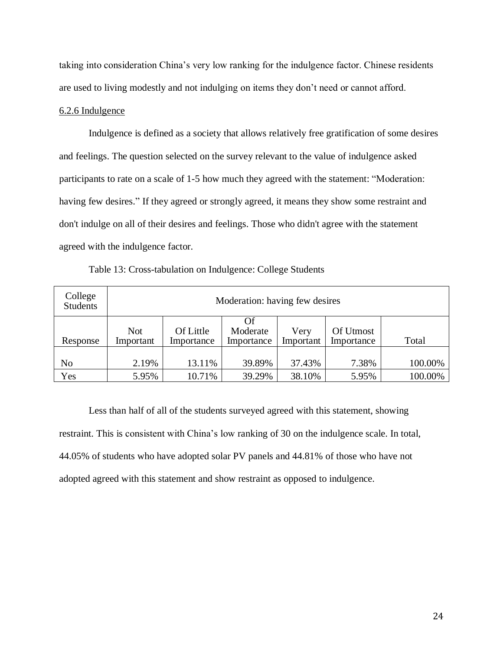taking into consideration China's very low ranking for the indulgence factor. Chinese residents are used to living modestly and not indulging on items they don't need or cannot afford.

#### 6.2.6 Indulgence

Indulgence is defined as a society that allows relatively free gratification of some desires and feelings. The question selected on the survey relevant to the value of indulgence asked participants to rate on a scale of 1-5 how much they agreed with the statement: "Moderation: having few desires." If they agreed or strongly agreed, it means they show some restraint and don't indulge on all of their desires and feelings. Those who didn't agree with the statement agreed with the indulgence factor.

|  | Table 13: Cross-tabulation on Indulgence: College Students |
|--|------------------------------------------------------------|
|  |                                                            |

| College<br><b>Students</b> |                  | Moderation: having few desires |                              |                   |                         |         |  |  |  |  |  |
|----------------------------|------------------|--------------------------------|------------------------------|-------------------|-------------------------|---------|--|--|--|--|--|
| Response                   | Not<br>Important | Of Little<br>Importance        | Of<br>Moderate<br>Importance | Very<br>Important | Of Utmost<br>Importance | Total   |  |  |  |  |  |
| No                         | 2.19%            | 13.11%                         | 39.89%                       | 37.43%            | 7.38%                   | 100.00% |  |  |  |  |  |
| Yes                        | 5.95%            | 10.71%                         | 39.29%                       | 38.10%            | 5.95%                   | 100.00% |  |  |  |  |  |

Less than half of all of the students surveyed agreed with this statement, showing restraint. This is consistent with China's low ranking of 30 on the indulgence scale. In total, 44.05% of students who have adopted solar PV panels and 44.81% of those who have not adopted agreed with this statement and show restraint as opposed to indulgence.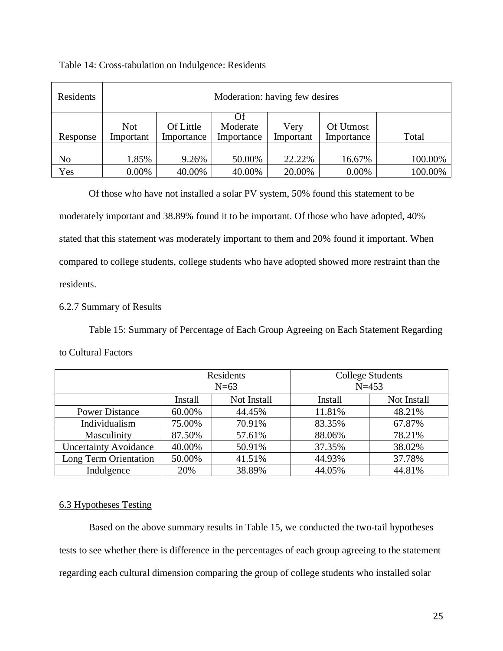| Residents |                         | Moderation: having few desires |                        |                   |                         |         |  |  |  |
|-----------|-------------------------|--------------------------------|------------------------|-------------------|-------------------------|---------|--|--|--|
| Response  | <b>Not</b><br>Important | Of Little<br>Importance        | Moderate<br>Importance | Very<br>Important | Of Utmost<br>Importance | Total   |  |  |  |
| No        | 1.85%                   | 9.26%                          | 50.00%                 | 22.22%            | 16.67%                  | 100.00% |  |  |  |
| Yes       | 0.00%                   | 40.00%                         | 40.00%                 | 20.00%            | 0.00%                   | 100.00% |  |  |  |

## Table 14: Cross-tabulation on Indulgence: Residents

Of those who have not installed a solar PV system, 50% found this statement to be moderately important and 38.89% found it to be important. Of those who have adopted, 40% stated that this statement was moderately important to them and 20% found it important. When compared to college students, college students who have adopted showed more restraint than the residents.

# 6.2.7 Summary of Results

Table 15: Summary of Percentage of Each Group Agreeing on Each Statement Regarding

# to Cultural Factors

|                              |         | Residents<br>$N=63$ |         | <b>College Students</b><br>$N = 453$ |
|------------------------------|---------|---------------------|---------|--------------------------------------|
|                              | Install | Not Install         | Install | Not Install                          |
| <b>Power Distance</b>        | 60.00%  | 44.45%              | 11.81%  | 48.21%                               |
| Individualism                | 75.00%  | 70.91%              | 83.35%  | 67.87%                               |
| Masculinity                  | 87.50%  | 57.61%              | 88.06%  | 78.21%                               |
| <b>Uncertainty Avoidance</b> | 40.00%  | 50.91%              | 37.35%  | 38.02%                               |
| Long Term Orientation        | 50.00%  | 41.51%              | 44.93%  | 37.78%                               |
| Indulgence                   | 20%     | 38.89%              | 44.05%  | 44.81%                               |

# 6.3 Hypotheses Testing

Based on the above summary results in Table 15, we conducted the two-tail hypotheses tests to see whether there is difference in the percentages of each group agreeing to the statement regarding each cultural dimension comparing the group of college students who installed solar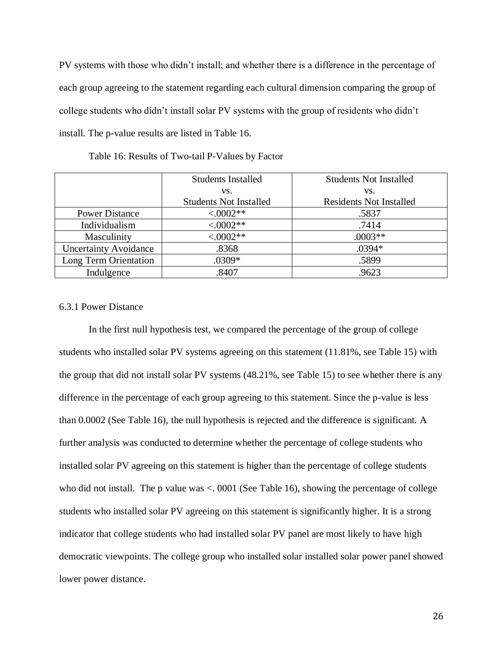PV systems with those who didn't install; and whether there is a difference in the percentage of each group agreeing to the statement regarding each cultural dimension comparing the group of college students who didn't install solar PV systems with the group of residents who didn't install. The p-value results are listed in Table 16.

|                              | <b>Students Installed</b>     | <b>Students Not Installed</b>  |
|------------------------------|-------------------------------|--------------------------------|
|                              | VS.                           | VS.                            |
|                              | <b>Students Not Installed</b> | <b>Residents Not Installed</b> |
| <b>Power Distance</b>        | $< 0.0002**$                  | .5837                          |
| Individualism                | $< .0002**$                   | .7414                          |
| Masculinity                  | $< .0002**$                   | $.0003**$                      |
| <b>Uncertainty Avoidance</b> | .8368                         | .0394*                         |
| Long Term Orientation        | .0309*                        | .5899                          |
| Indulgence                   | .8407                         | .9623                          |

Table 16: Results of Two-tail P-Values by Factor

#### 6.3.1 Power Distance

In the first null hypothesis test, we compared the percentage of the group of college students who installed solar PV systems agreeing on this statement (11.81%, see Table 15) with the group that did not install solar PV systems (48.21%, see Table 15) to see whether there is any difference in the percentage of each group agreeing to this statement. Since the p-value is less than 0.0002 (See Table 16), the null hypothesis is rejected and the difference is significant. A further analysis was conducted to determine whether the percentage of college students who installed solar PV agreeing on this statement is higher than the percentage of college students who did not install. The p value was <. 0001 (See Table 16), showing the percentage of college students who installed solar PV agreeing on this statement is significantly higher. It is a strong indicator that college students who had installed solar PV panel are most likely to have high democratic viewpoints. The college group who installed solar installed solar power panel showed lower power distance.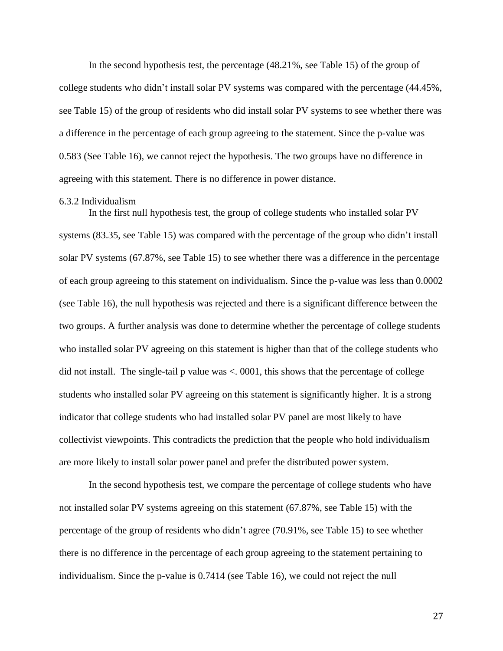In the second hypothesis test, the percentage (48.21%, see Table 15) of the group of college students who didn't install solar PV systems was compared with the percentage (44.45%, see Table 15) of the group of residents who did install solar PV systems to see whether there was a difference in the percentage of each group agreeing to the statement. Since the p-value was 0.583 (See Table 16), we cannot reject the hypothesis. The two groups have no difference in agreeing with this statement. There is no difference in power distance.

#### 6.3.2 Individualism

In the first null hypothesis test, the group of college students who installed solar PV systems (83.35, see Table 15) was compared with the percentage of the group who didn't install solar PV systems (67.87%, see Table 15) to see whether there was a difference in the percentage of each group agreeing to this statement on individualism. Since the p-value was less than 0.0002 (see Table 16), the null hypothesis was rejected and there is a significant difference between the two groups. A further analysis was done to determine whether the percentage of college students who installed solar PV agreeing on this statement is higher than that of the college students who did not install. The single-tail p value was <. 0001, this shows that the percentage of college students who installed solar PV agreeing on this statement is significantly higher. It is a strong indicator that college students who had installed solar PV panel are most likely to have collectivist viewpoints. This contradicts the prediction that the people who hold individualism are more likely to install solar power panel and prefer the distributed power system.

In the second hypothesis test, we compare the percentage of college students who have not installed solar PV systems agreeing on this statement (67.87%, see Table 15) with the percentage of the group of residents who didn't agree (70.91%, see Table 15) to see whether there is no difference in the percentage of each group agreeing to the statement pertaining to individualism. Since the p-value is 0.7414 (see Table 16), we could not reject the null

27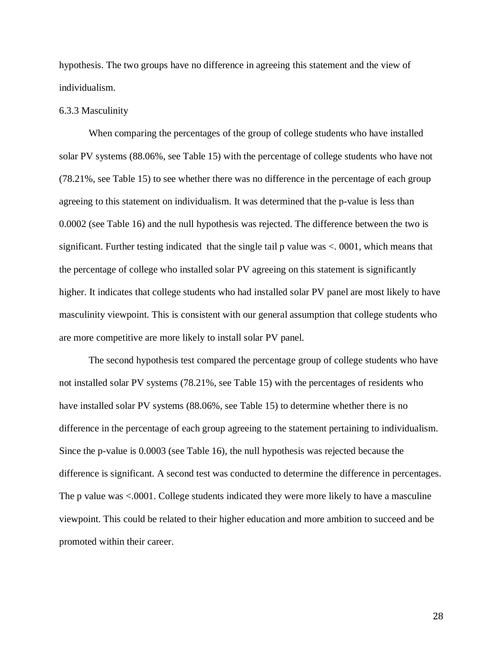hypothesis. The two groups have no difference in agreeing this statement and the view of individualism.

#### 6.3.3 Masculinity

When comparing the percentages of the group of college students who have installed solar PV systems (88.06%, see Table 15) with the percentage of college students who have not (78.21%, see Table 15) to see whether there was no difference in the percentage of each group agreeing to this statement on individualism. It was determined that the p-value is less than 0.0002 (see Table 16) and the null hypothesis was rejected. The difference between the two is significant. Further testing indicated that the single tail  $p$  value was  $\lt$ . 0001, which means that the percentage of college who installed solar PV agreeing on this statement is significantly higher. It indicates that college students who had installed solar PV panel are most likely to have masculinity viewpoint. This is consistent with our general assumption that college students who are more competitive are more likely to install solar PV panel.

The second hypothesis test compared the percentage group of college students who have not installed solar PV systems (78.21%, see Table 15) with the percentages of residents who have installed solar PV systems (88.06%, see Table 15) to determine whether there is no difference in the percentage of each group agreeing to the statement pertaining to individualism. Since the p-value is 0.0003 (see Table 16), the null hypothesis was rejected because the difference is significant. A second test was conducted to determine the difference in percentages. The p value was <.0001. College students indicated they were more likely to have a masculine viewpoint. This could be related to their higher education and more ambition to succeed and be promoted within their career.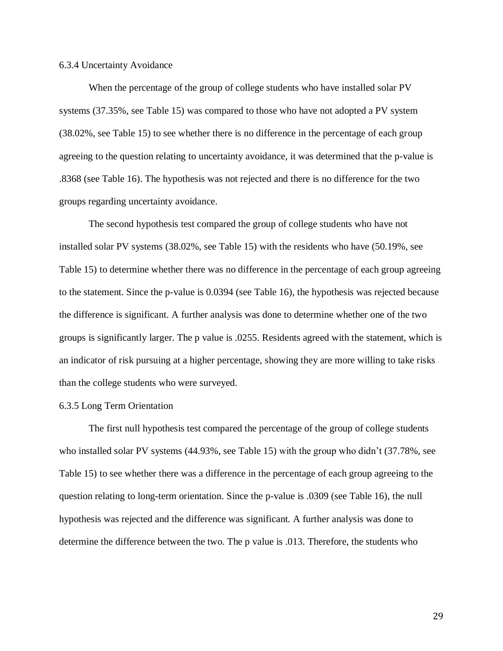#### 6.3.4 Uncertainty Avoidance

When the percentage of the group of college students who have installed solar PV systems (37.35%, see Table 15) was compared to those who have not adopted a PV system (38.02%, see Table 15) to see whether there is no difference in the percentage of each group agreeing to the question relating to uncertainty avoidance, it was determined that the p-value is .8368 (see Table 16). The hypothesis was not rejected and there is no difference for the two groups regarding uncertainty avoidance.

The second hypothesis test compared the group of college students who have not installed solar PV systems (38.02%, see Table 15) with the residents who have (50.19%, see Table 15) to determine whether there was no difference in the percentage of each group agreeing to the statement. Since the p-value is 0.0394 (see Table 16), the hypothesis was rejected because the difference is significant. A further analysis was done to determine whether one of the two groups is significantly larger. The p value is .0255. Residents agreed with the statement, which is an indicator of risk pursuing at a higher percentage, showing they are more willing to take risks than the college students who were surveyed.

#### 6.3.5 Long Term Orientation

The first null hypothesis test compared the percentage of the group of college students who installed solar PV systems (44.93%, see Table 15) with the group who didn't (37.78%, see Table 15) to see whether there was a difference in the percentage of each group agreeing to the question relating to long-term orientation. Since the p-value is .0309 (see Table 16), the null hypothesis was rejected and the difference was significant. A further analysis was done to determine the difference between the two. The p value is .013. Therefore, the students who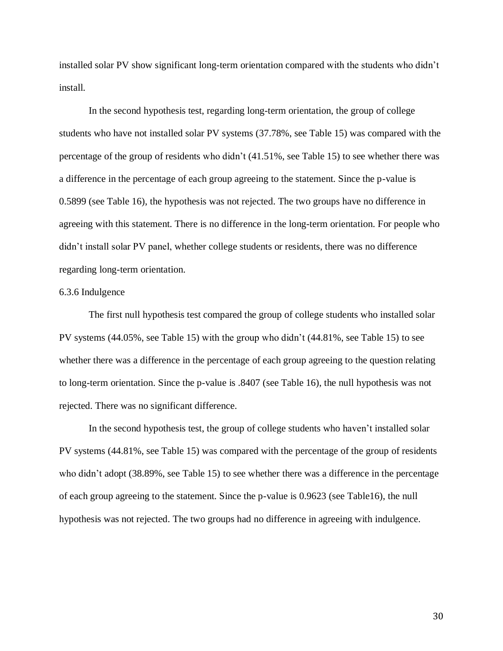installed solar PV show significant long-term orientation compared with the students who didn't install.

In the second hypothesis test, regarding long-term orientation, the group of college students who have not installed solar PV systems (37.78%, see Table 15) was compared with the percentage of the group of residents who didn't (41.51%, see Table 15) to see whether there was a difference in the percentage of each group agreeing to the statement. Since the p-value is 0.5899 (see Table 16), the hypothesis was not rejected. The two groups have no difference in agreeing with this statement. There is no difference in the long-term orientation. For people who didn't install solar PV panel, whether college students or residents, there was no difference regarding long-term orientation.

#### 6.3.6 Indulgence

The first null hypothesis test compared the group of college students who installed solar PV systems (44.05%, see Table 15) with the group who didn't (44.81%, see Table 15) to see whether there was a difference in the percentage of each group agreeing to the question relating to long-term orientation. Since the p-value is .8407 (see Table 16), the null hypothesis was not rejected. There was no significant difference.

In the second hypothesis test, the group of college students who haven't installed solar PV systems (44.81%, see Table 15) was compared with the percentage of the group of residents who didn't adopt (38.89%, see Table 15) to see whether there was a difference in the percentage of each group agreeing to the statement. Since the p-value is 0.9623 (see Table16), the null hypothesis was not rejected. The two groups had no difference in agreeing with indulgence.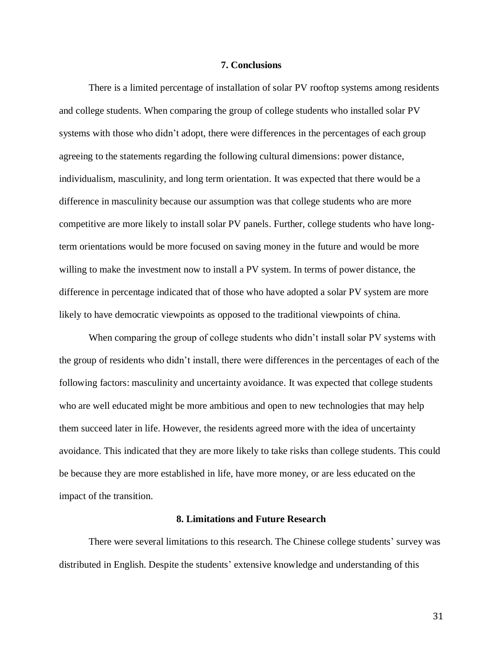#### **7. Conclusions**

There is a limited percentage of installation of solar PV rooftop systems among residents and college students. When comparing the group of college students who installed solar PV systems with those who didn't adopt, there were differences in the percentages of each group agreeing to the statements regarding the following cultural dimensions: power distance, individualism, masculinity, and long term orientation. It was expected that there would be a difference in masculinity because our assumption was that college students who are more competitive are more likely to install solar PV panels. Further, college students who have longterm orientations would be more focused on saving money in the future and would be more willing to make the investment now to install a PV system. In terms of power distance, the difference in percentage indicated that of those who have adopted a solar PV system are more likely to have democratic viewpoints as opposed to the traditional viewpoints of china.

When comparing the group of college students who didn't install solar PV systems with the group of residents who didn't install, there were differences in the percentages of each of the following factors: masculinity and uncertainty avoidance. It was expected that college students who are well educated might be more ambitious and open to new technologies that may help them succeed later in life. However, the residents agreed more with the idea of uncertainty avoidance. This indicated that they are more likely to take risks than college students. This could be because they are more established in life, have more money, or are less educated on the impact of the transition.

#### **8. Limitations and Future Research**

There were several limitations to this research. The Chinese college students' survey was distributed in English. Despite the students' extensive knowledge and understanding of this

31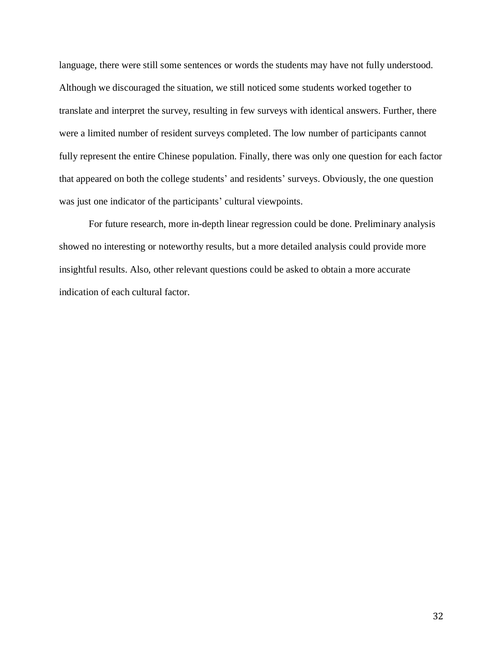language, there were still some sentences or words the students may have not fully understood. Although we discouraged the situation, we still noticed some students worked together to translate and interpret the survey, resulting in few surveys with identical answers. Further, there were a limited number of resident surveys completed. The low number of participants cannot fully represent the entire Chinese population. Finally, there was only one question for each factor that appeared on both the college students' and residents' surveys. Obviously, the one question was just one indicator of the participants' cultural viewpoints.

For future research, more in-depth linear regression could be done. Preliminary analysis showed no interesting or noteworthy results, but a more detailed analysis could provide more insightful results. Also, other relevant questions could be asked to obtain a more accurate indication of each cultural factor.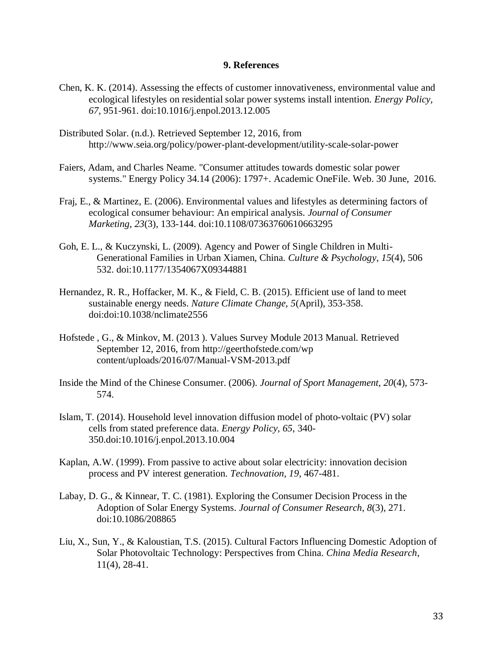#### **9. References**

- Chen, K. K. (2014). Assessing the effects of customer innovativeness, environmental value and ecological lifestyles on residential solar power systems install intention. *Energy Policy, 67*, 951-961. doi:10.1016/j.enpol.2013.12.005
- Distributed Solar. (n.d.). Retrieved September 12, 2016, from http://www.seia.org/policy/power-plant-development/utility-scale-solar-power
- Faiers, Adam, and Charles Neame. "Consumer attitudes towards domestic solar power systems." Energy Policy 34.14 (2006): 1797+. Academic OneFile. Web. 30 June, 2016.
- Fraj, E., & Martinez, E. (2006). Environmental values and lifestyles as determining factors of ecological consumer behaviour: An empirical analysis. *Journal of Consumer Marketing, 23*(3), 133-144. doi:10.1108/07363760610663295
- Goh, E. L., & Kuczynski, L. (2009). Agency and Power of Single Children in Multi-Generational Families in Urban Xiamen, China. *Culture & Psychology*, *15*(4), 506 532. doi:10.1177/1354067X09344881
- Hernandez, R. R., Hoffacker, M. K., & Field, C. B. (2015). Efficient use of land to meet sustainable energy needs. *Nature Climate Change, 5*(April), 353-358. doi:doi:10.1038/nclimate2556
- Hofstede , G., & Minkov, M. (2013 ). Values Survey Module 2013 Manual. Retrieved September 12, 2016, from http://geerthofstede.com/wp content/uploads/2016/07/Manual-VSM-2013.pdf
- Inside the Mind of the Chinese Consumer. (2006). *Journal of Sport Management*, *20*(4), 573- 574.
- Islam, T. (2014). Household level innovation diffusion model of photo-voltaic (PV) solar cells from stated preference data. *Energy Policy, 65*, 340- 350.doi:10.1016/j.enpol.2013.10.004
- Kaplan, A.W. (1999). From passive to active about solar electricity: innovation decision process and PV interest generation. *Technovation, 19,* 467-481.
- Labay, D. G., & Kinnear, T. C. (1981). Exploring the Consumer Decision Process in the Adoption of Solar Energy Systems. *Journal of Consumer Research, 8*(3), 271. doi:10.1086/208865
- Liu, X., Sun, Y., & Kaloustian, T.S. (2015). Cultural Factors Influencing Domestic Adoption of Solar Photovoltaic Technology: Perspectives from China. *China Media Research*, 11(4), 28-41.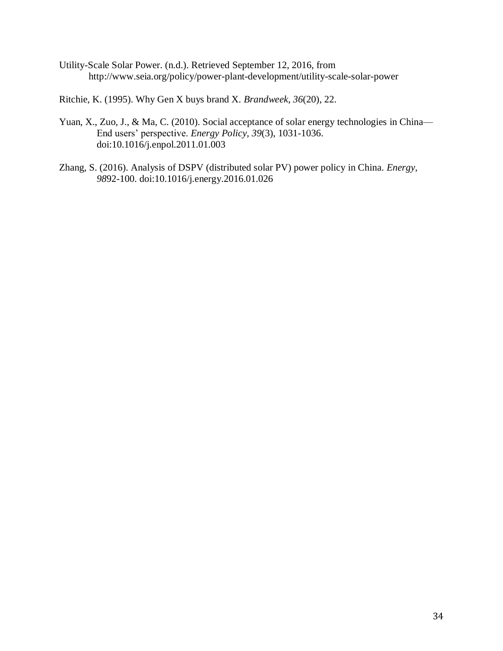Utility-Scale Solar Power. (n.d.). Retrieved September 12, 2016, from http://www.seia.org/policy/power-plant-development/utility-scale-solar-power

Ritchie, K. (1995). Why Gen X buys brand X. *Brandweek*, *36*(20), 22.

- Yuan, X., Zuo, J., & Ma, C. (2010). Social acceptance of solar energy technologies in China— End users' perspective. *Energy Policy, 39*(3), 1031-1036. doi:10.1016/j.enpol.2011.01.003
- Zhang, S. (2016). Analysis of DSPV (distributed solar PV) power policy in China. *Energy*, *98*92-100. doi:10.1016/j.energy.2016.01.026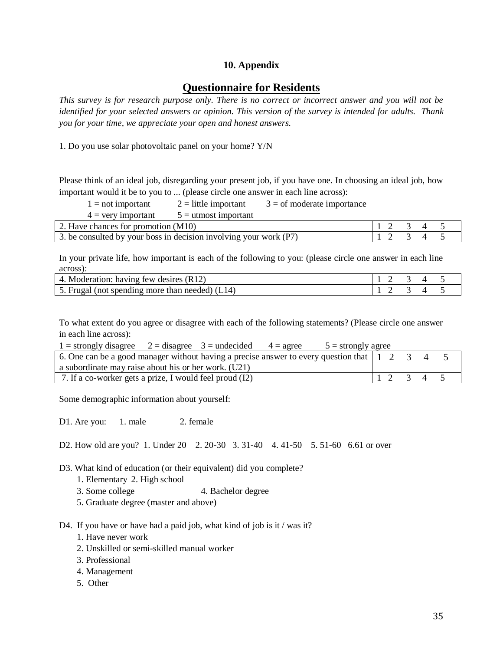# **10. Appendix**

# **Questionnaire for Residents**

*This survey is for research purpose only. There is no correct or incorrect answer and you will not be identified for your selected answers or opinion. This version of the survey is intended for adults. Thank you for your time, we appreciate your open and honest answers.*

1. Do you use solar photovoltaic panel on your home? Y/N

Please think of an ideal job, disregarding your present job, if you have one. In choosing an ideal job, how important would it be to you to ... (please circle one answer in each line across):

 $1 =$ not important  $2 =$  little important  $3 =$  of moderate importance

 $4 = \text{very important}$   $5 = \text{utmost important}$ 

| 2. Have chances for promotion (M10)                               |  |  |  |
|-------------------------------------------------------------------|--|--|--|
| 3. be consulted by your boss in decision involving your work (P7) |  |  |  |

In your private life, how important is each of the following to you: (please circle one answer in each line across):

| 4. Moderation: having few desires (R12)             |  | $1$ $2$ $3$ $4$ $5$                                                |  |
|-----------------------------------------------------|--|--------------------------------------------------------------------|--|
| $-5$ . Frugal (not spending more than needed) (L14) |  | $\begin{array}{ccccccccccccccccc}\n1 & 2 & 3 & 4 & 5\n\end{array}$ |  |

To what extent do you agree or disagree with each of the following statements? (Please circle one answer in each line across):

| $1 =$ strongly disagree $2 =$ disagree $3 =$ undecided $4 =$ agree<br>$5 =$ strongly agree                                        |         |  |  |
|-----------------------------------------------------------------------------------------------------------------------------------|---------|--|--|
| 6. One can be a good manager without having a precise answer to every question that $\begin{bmatrix} 1 & 2 & 3 & 4 \end{bmatrix}$ |         |  |  |
| a subordinate may raise about his or her work. (U21)                                                                              |         |  |  |
| 7. If a co-worker gets a prize, I would feel proud (I2)                                                                           | 1 2 3 4 |  |  |

Some demographic information about yourself:

D1. Are you: 1. male 2. female

D2. How old are you? 1. Under 20 2. 20-30 3. 31-40 4. 41-50 5. 51-60 6.61 or over

D3. What kind of education (or their equivalent) did you complete?

- 1. Elementary 2. High school
- 3. Some college 4. Bachelor degree
- 5. Graduate degree (master and above)

D4. If you have or have had a paid job, what kind of job is it / was it?

- 1. Have never work
- 2. Unskilled or semi-skilled manual worker
- 3. Professional
- 4. Management
- 5. Other